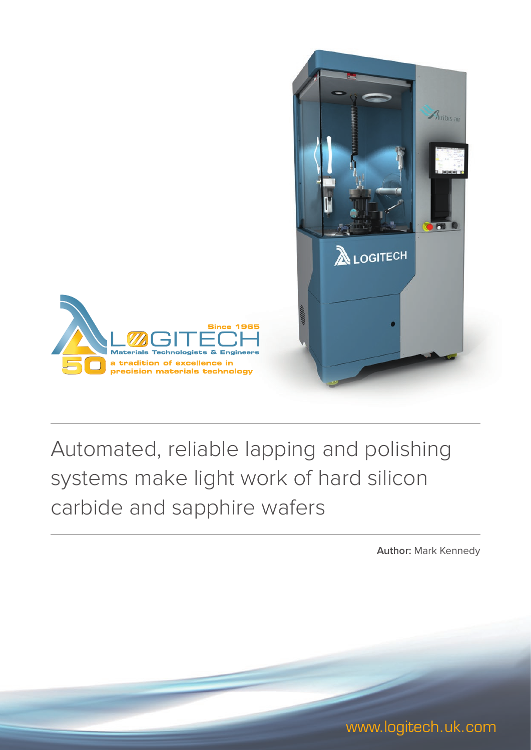

# Automated, reliable lapping and polishing systems make light work of hard silicon carbide and sapphire wafers

**Author:** Mark Kennedy

www.logitech.uk.com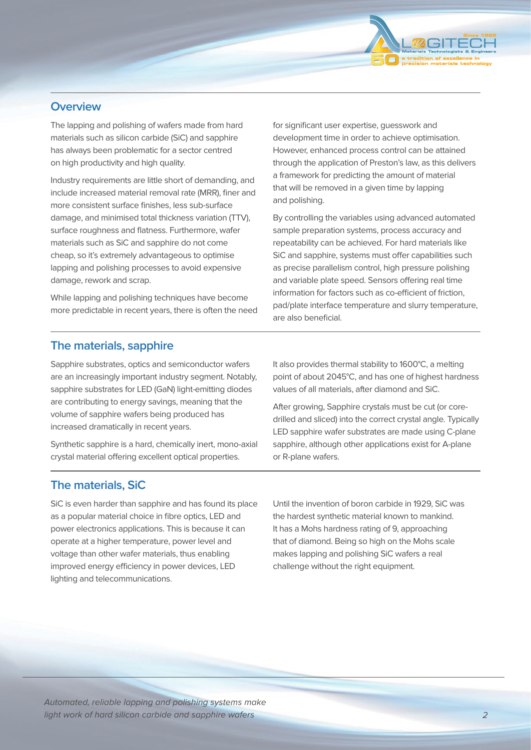

#### **Overview**

The lapping and polishing of wafers made from hard materials such as silicon carbide (SiC) and sapphire has always been problematic for a sector centred on high productivity and high quality.

Industry requirements are little short of demanding, and include increased material removal rate (MRR), finer and more consistent surface finishes, less sub-surface damage, and minimised total thickness variation (TTV), surface roughness and flatness. Furthermore, wafer materials such as SiC and sapphire do not come cheap, so it's extremely advantageous to optimise lapping and polishing processes to avoid expensive damage, rework and scrap.

While lapping and polishing techniques have become more predictable in recent years, there is often the need for significant user expertise, guesswork and development time in order to achieve optimisation. However, enhanced process control can be attained through the application of Preston's law, as this delivers a framework for predicting the amount of material that will be removed in a given time by lapping and polishing.

By controlling the variables using advanced automated sample preparation systems, process accuracy and repeatability can be achieved. For hard materials like SiC and sapphire, systems must offer capabilities such as precise parallelism control, high pressure polishing and variable plate speed. Sensors offering real time information for factors such as co-efficient of friction, pad/plate interface temperature and slurry temperature, are also beneficial.

#### **The materials, sapphire**

Sapphire substrates, optics and semiconductor wafers are an increasingly important industry segment. Notably, sapphire substrates for LED (GaN) light-emitting diodes are contributing to energy savings, meaning that the volume of sapphire wafers being produced has increased dramatically in recent years.

Synthetic sapphire is a hard, chemically inert, mono-axial crystal material offering excellent optical properties.

It also provides thermal stability to 1600°C, a melting point of about 2045°C, and has one of highest hardness values of all materials, after diamond and SiC.

After growing, Sapphire crystals must be cut (or coredrilled and sliced) into the correct crystal angle. Typically LED sapphire wafer substrates are made using C-plane sapphire, although other applications exist for A-plane or R-plane wafers.

#### **The materials, SiC**

SiC is even harder than sapphire and has found its place as a popular material choice in fibre optics, LED and power electronics applications. This is because it can operate at a higher temperature, power level and voltage than other wafer materials, thus enabling improved energy efficiency in power devices, LED lighting and telecommunications.

Until the invention of boron carbide in 1929, SiC was the hardest synthetic material known to mankind. It has a Mohs hardness rating of 9, approaching that of diamond. Being so high on the Mohs scale makes lapping and polishing SiC wafers a real challenge without the right equipment.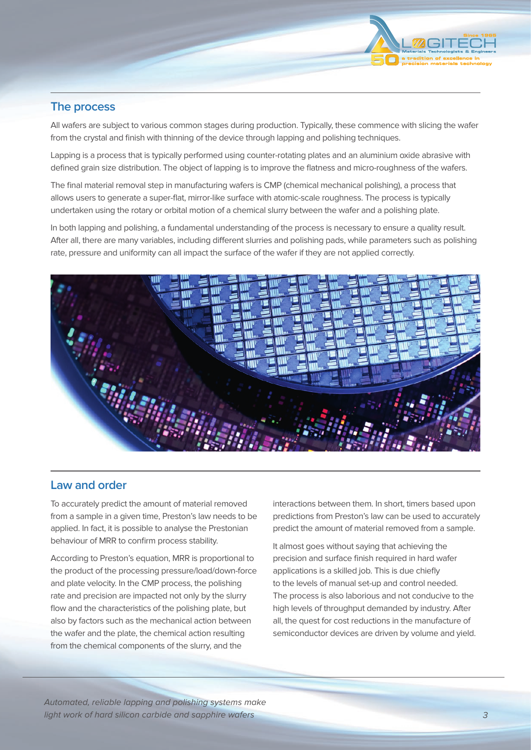

#### **The process**

All wafers are subject to various common stages during production. Typically, these commence with slicing the wafer from the crystal and finish with thinning of the device through lapping and polishing techniques.

Lapping is a process that is typically performed using counter-rotating plates and an aluminium oxide abrasive with defined grain size distribution. The object of lapping is to improve the flatness and micro-roughness of the wafers.

The final material removal step in manufacturing wafers is CMP (chemical mechanical polishing), a process that allows users to generate a super-flat, mirror-like surface with atomic-scale roughness. The process is typically undertaken using the rotary or orbital motion of a chemical slurry between the wafer and a polishing plate.

In both lapping and polishing, a fundamental understanding of the process is necessary to ensure a quality result. After all, there are many variables, including different slurries and polishing pads, while parameters such as polishing rate, pressure and uniformity can all impact the surface of the wafer if they are not applied correctly.



#### **Law and order**

To accurately predict the amount of material removed from a sample in a given time, Preston's law needs to be applied. In fact, it is possible to analyse the Prestonian behaviour of MRR to confirm process stability.

According to Preston's equation, MRR is proportional to the product of the processing pressure/load/down-force and plate velocity. In the CMP process, the polishing rate and precision are impacted not only by the slurry flow and the characteristics of the polishing plate, but also by factors such as the mechanical action between the wafer and the plate, the chemical action resulting from the chemical components of the slurry, and the

interactions between them. In short, timers based upon predictions from Preston's law can be used to accurately predict the amount of material removed from a sample.

It almost goes without saying that achieving the precision and surface finish required in hard wafer applications is a skilled job. This is due chiefly to the levels of manual set-up and control needed. The process is also laborious and not conducive to the high levels of throughput demanded by industry. After all, the quest for cost reductions in the manufacture of semiconductor devices are driven by volume and yield.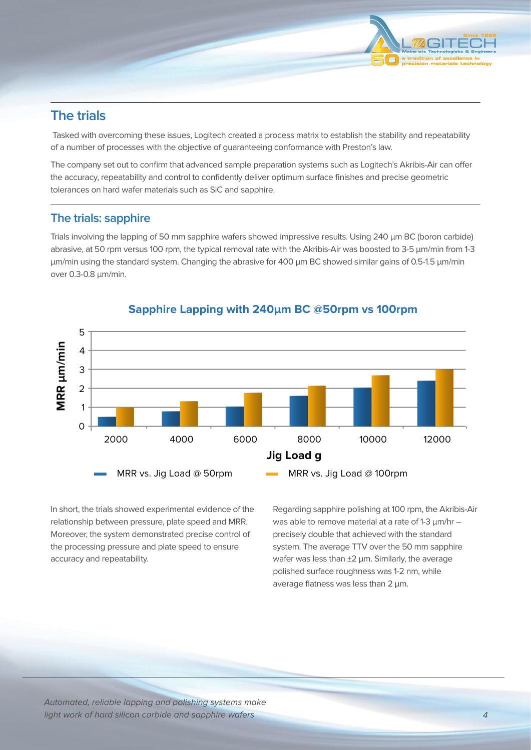

## **The trials**

 Tasked with overcoming these issues, Logitech created a process matrix to establish the stability and repeatability of a number of processes with the objective of guaranteeing conformance with Preston's law.

The company set out to confirm that advanced sample preparation systems such as Logitech's Akribis-Air can offer the accuracy, repeatability and control to confidently deliver optimum surface finishes and precise geometric tolerances on hard wafer materials such as SiC and sapphire.

#### **The trials: sapphire**

Trials involving the lapping of 50 mm sapphire wafers showed impressive results. Using 240 µm BC (boron carbide) abrasive, at 50 rpm versus 100 rpm, the typical removal rate with the Akribis-Air was boosted to 3-5 µm/min from 1-3 µm/min using the standard system. Changing the abrasive for 400 µm BC showed similar gains of 0.5-1.5 µm/min over 0.3-0.8 µm/min.



#### **Sapphire Lapping with 240µm BC @50rpm vs 100rpm**

In short, the trials showed experimental evidence of the relationship between pressure, plate speed and MRR. Moreover, the system demonstrated precise control of the processing pressure and plate speed to ensure accuracy and repeatability.

Regarding sapphire polishing at 100 rpm, the Akribis-Air was able to remove material at a rate of 1-3  $\mu$ m/hr – precisely double that achieved with the standard system. The average TTV over the 50 mm sapphire wafer was less than  $\pm 2$  µm. Similarly, the average polished surface roughness was 1-2 nm, while average flatness was less than 2 µm.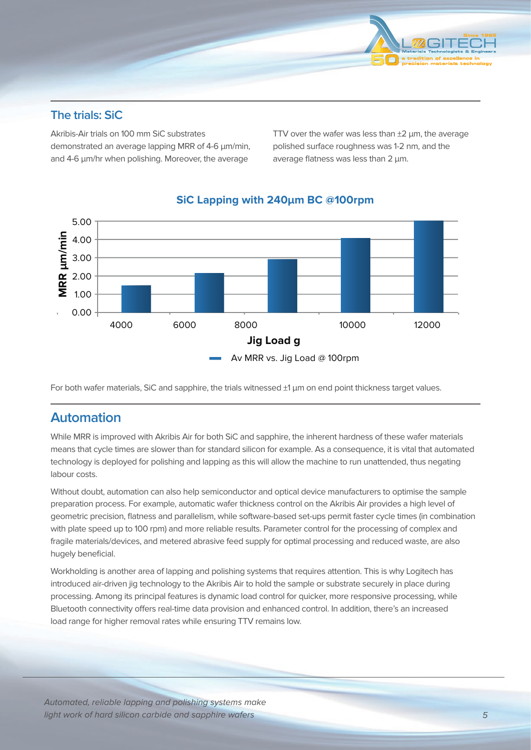

#### **The trials: SiC**

Akribis-Air trials on 100 mm SiC substrates demonstrated an average lapping MRR of 4-6 µm/min, and 4-6 µm/hr when polishing. Moreover, the average

TTV over the wafer was less than  $\pm 2$   $\mu$ m, the average polished surface roughness was 1-2 nm, and the average flatness was less than 2  $\mu$ m.



#### **SiC Lapping with 240µm BC @100rpm**

For both wafer materials, SiC and sapphire, the trials witnessed  $\pm 1$  um on end point thickness target values.

### **Automation**

While MRR is improved with Akribis Air for both SiC and sapphire, the inherent hardness of these wafer materials means that cycle times are slower than for standard silicon for example. As a consequence, it is vital that automated technology is deployed for polishing and lapping as this will allow the machine to run unattended, thus negating labour costs.

Without doubt, automation can also help semiconductor and optical device manufacturers to optimise the sample preparation process. For example, automatic wafer thickness control on the Akribis Air provides a high level of geometric precision, flatness and parallelism, while software-based set-ups permit faster cycle times (in combination with plate speed up to 100 rpm) and more reliable results. Parameter control for the processing of complex and fragile materials/devices, and metered abrasive feed supply for optimal processing and reduced waste, are also hugely beneficial.

Workholding is another area of lapping and polishing systems that requires attention. This is why Logitech has introduced air-driven jig technology to the Akribis Air to hold the sample or substrate securely in place during processing. Among its principal features is dynamic load control for quicker, more responsive processing, while Bluetooth connectivity offers real-time data provision and enhanced control. In addition, there's an increased load range for higher removal rates while ensuring TTV remains low.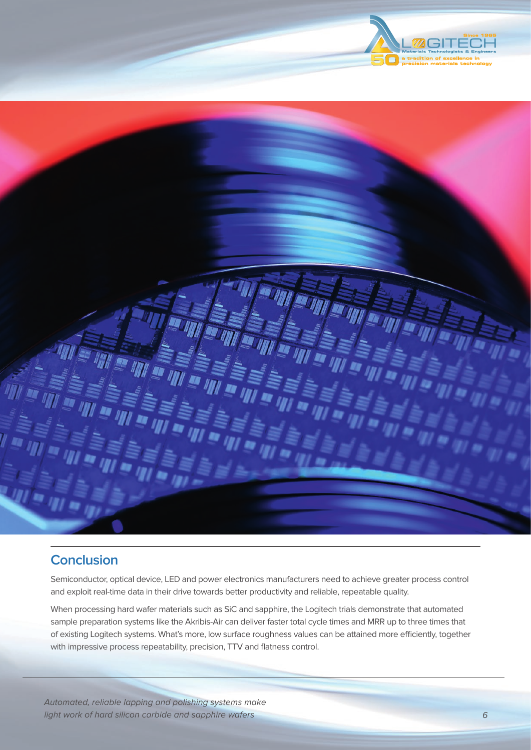



## **Conclusion**

Semiconductor, optical device, LED and power electronics manufacturers need to achieve greater process control and exploit real-time data in their drive towards better productivity and reliable, repeatable quality.

When processing hard wafer materials such as SiC and sapphire, the Logitech trials demonstrate that automated sample preparation systems like the Akribis-Air can deliver faster total cycle times and MRR up to three times that of existing Logitech systems. What's more, low surface roughness values can be attained more efficiently, together with impressive process repeatability, precision, TTV and flatness control.